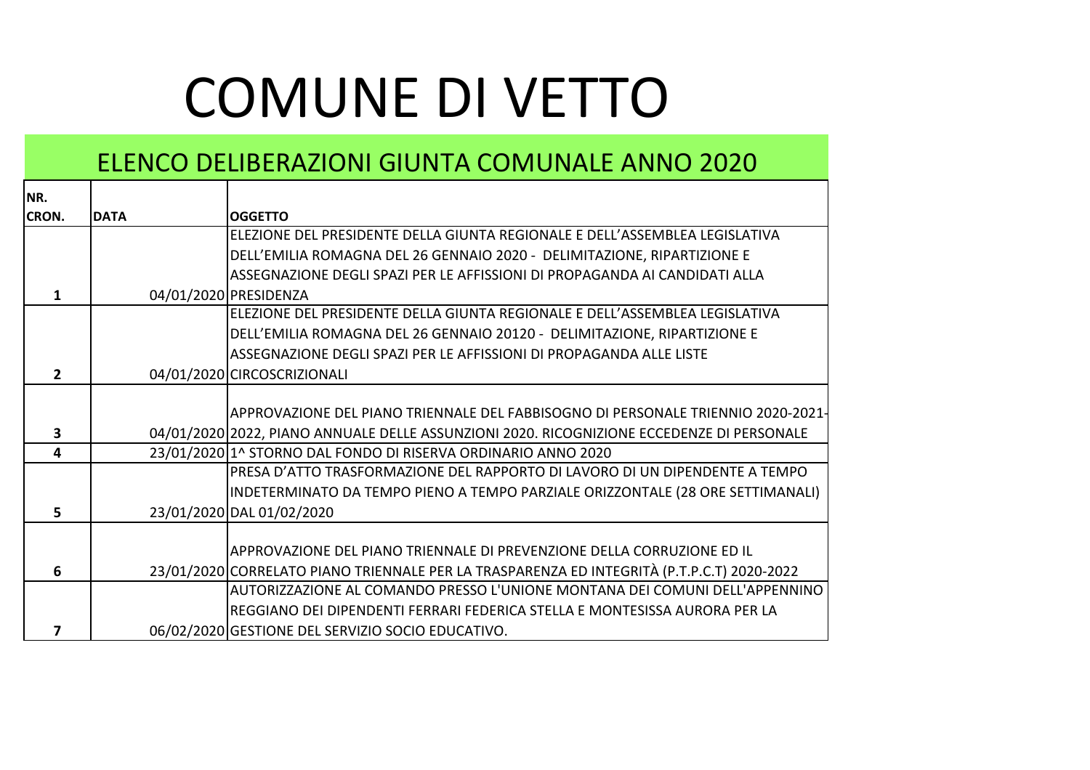## COMUNE DI VETTO

## ELENCO DELIBERAZIONI GIUNTA COMUNALE ANNO 2020

┯

| NR.            |             |                                                                                            |
|----------------|-------------|--------------------------------------------------------------------------------------------|
| <b>CRON.</b>   | <b>DATA</b> | <b>OGGETTO</b>                                                                             |
|                |             | ELEZIONE DEL PRESIDENTE DELLA GIUNTA REGIONALE E DELL'ASSEMBLEA LEGISLATIVA                |
|                |             | DELL'EMILIA ROMAGNA DEL 26 GENNAIO 2020 - DELIMITAZIONE, RIPARTIZIONE E                    |
|                |             | ASSEGNAZIONE DEGLI SPAZI PER LE AFFISSIONI DI PROPAGANDA AI CANDIDATI ALLA                 |
| 1.             |             | 04/01/2020 PRESIDENZA                                                                      |
|                |             | ELEZIONE DEL PRESIDENTE DELLA GIUNTA REGIONALE E DELL'ASSEMBLEA LEGISLATIVA                |
|                |             | DELL'EMILIA ROMAGNA DEL 26 GENNAIO 20120 - DELIMITAZIONE, RIPARTIZIONE E                   |
|                |             | ASSEGNAZIONE DEGLI SPAZI PER LE AFFISSIONI DI PROPAGANDA ALLE LISTE                        |
| $\overline{2}$ |             | 04/01/2020 CIRCOSCRIZIONALI                                                                |
|                |             |                                                                                            |
|                |             | APPROVAZIONE DEL PIANO TRIENNALE DEL FABBISOGNO DI PERSONALE TRIENNIO 2020-2021-           |
| 3              |             | 04/01/2020 2022, PIANO ANNUALE DELLE ASSUNZIONI 2020. RICOGNIZIONE ECCEDENZE DI PERSONALE  |
| 4              |             | 23/01/2020 1^ STORNO DAL FONDO DI RISERVA ORDINARIO ANNO 2020                              |
|                |             | PRESA D'ATTO TRASFORMAZIONE DEL RAPPORTO DI LAVORO DI UN DIPENDENTE A TEMPO                |
|                |             | INDETERMINATO DA TEMPO PIENO A TEMPO PARZIALE ORIZZONTALE (28 ORE SETTIMANALI)             |
| 5.             |             | 23/01/2020 DAL 01/02/2020                                                                  |
|                |             |                                                                                            |
|                |             | APPROVAZIONE DEL PIANO TRIENNALE DI PREVENZIONE DELLA CORRUZIONE ED IL                     |
| 6              |             | 23/01/2020 CORRELATO PIANO TRIENNALE PER LA TRASPARENZA ED INTEGRITÀ (P.T.P.C.T) 2020-2022 |
|                |             | AUTORIZZAZIONE AL COMANDO PRESSO L'UNIONE MONTANA DEI COMUNI DELL'APPENNINO                |
|                |             | REGGIANO DEI DIPENDENTI FERRARI FEDERICA STELLA E MONTESISSA AURORA PER LA                 |
| 7              |             | 06/02/2020 GESTIONE DEL SERVIZIO SOCIO EDUCATIVO.                                          |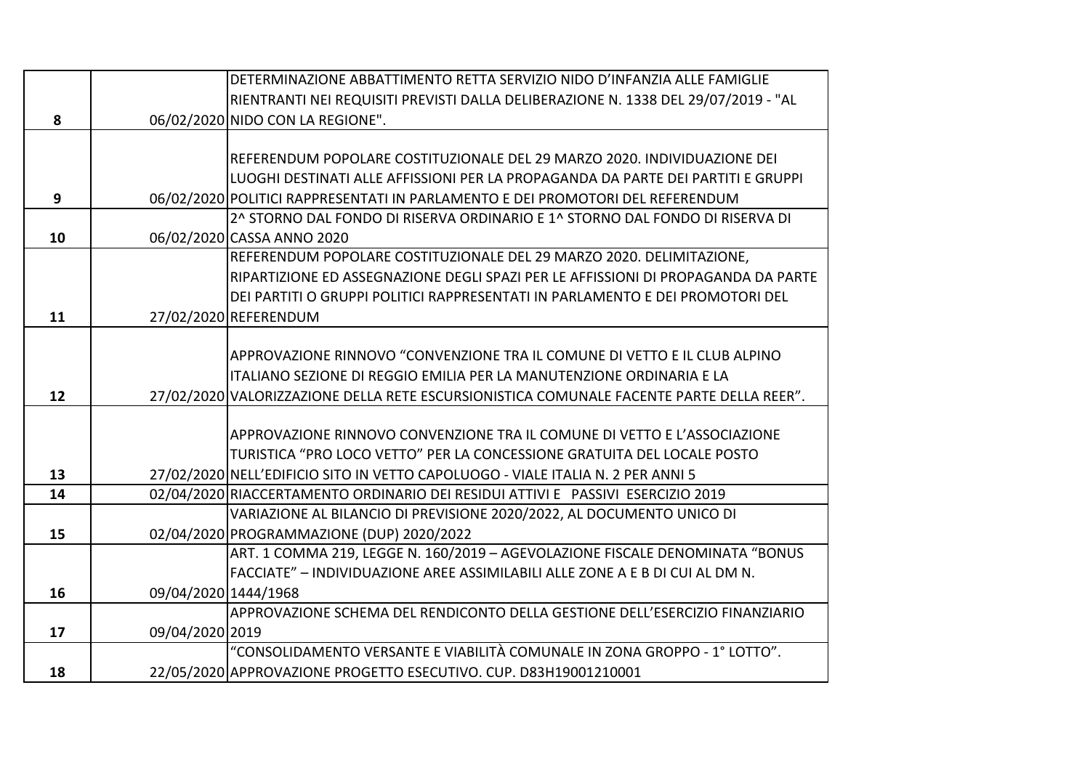|    |                      | DETERMINAZIONE ABBATTIMENTO RETTA SERVIZIO NIDO D'INFANZIA ALLE FAMIGLIE                 |
|----|----------------------|------------------------------------------------------------------------------------------|
|    |                      | RIENTRANTI NEI REQUISITI PREVISTI DALLA DELIBERAZIONE N. 1338 DEL 29/07/2019 - "AL       |
| 8  |                      | 06/02/2020 NIDO CON LA REGIONE".                                                         |
|    |                      |                                                                                          |
|    |                      | REFERENDUM POPOLARE COSTITUZIONALE DEL 29 MARZO 2020. INDIVIDUAZIONE DEI                 |
|    |                      | LUOGHI DESTINATI ALLE AFFISSIONI PER LA PROPAGANDA DA PARTE DEI PARTITI E GRUPPI         |
| 9  |                      | 06/02/2020 POLITICI RAPPRESENTATI IN PARLAMENTO E DEI PROMOTORI DEL REFERENDUM           |
|    |                      | 2^ STORNO DAL FONDO DI RISERVA ORDINARIO E 1^ STORNO DAL FONDO DI RISERVA DI             |
| 10 |                      | 06/02/2020 CASSA ANNO 2020                                                               |
|    |                      | REFERENDUM POPOLARE COSTITUZIONALE DEL 29 MARZO 2020. DELIMITAZIONE,                     |
|    |                      | RIPARTIZIONE ED ASSEGNAZIONE DEGLI SPAZI PER LE AFFISSIONI DI PROPAGANDA DA PARTE        |
|    |                      | DEI PARTITI O GRUPPI POLITICI RAPPRESENTATI IN PARLAMENTO E DEI PROMOTORI DEL            |
| 11 |                      | 27/02/2020 REFERENDUM                                                                    |
|    |                      |                                                                                          |
|    |                      | APPROVAZIONE RINNOVO "CONVENZIONE TRA IL COMUNE DI VETTO E IL CLUB ALPINO                |
|    |                      | ITALIANO SEZIONE DI REGGIO EMILIA PER LA MANUTENZIONE ORDINARIA E LA                     |
| 12 |                      | 27/02/2020 VALORIZZAZIONE DELLA RETE ESCURSIONISTICA COMUNALE FACENTE PARTE DELLA REER". |
|    |                      |                                                                                          |
|    |                      | APPROVAZIONE RINNOVO CONVENZIONE TRA IL COMUNE DI VETTO E L'ASSOCIAZIONE                 |
|    |                      | TURISTICA "PRO LOCO VETTO" PER LA CONCESSIONE GRATUITA DEL LOCALE POSTO                  |
| 13 |                      | 27/02/2020 NELL'EDIFICIO SITO IN VETTO CAPOLUOGO - VIALE ITALIA N. 2 PER ANNI 5          |
| 14 |                      | 02/04/2020 RIACCERTAMENTO ORDINARIO DEI RESIDUI ATTIVI E PASSIVI ESERCIZIO 2019          |
|    |                      | VARIAZIONE AL BILANCIO DI PREVISIONE 2020/2022, AL DOCUMENTO UNICO DI                    |
| 15 |                      | 02/04/2020 PROGRAMMAZIONE (DUP) 2020/2022                                                |
|    |                      | ART. 1 COMMA 219, LEGGE N. 160/2019 - AGEVOLAZIONE FISCALE DENOMINATA "BONUS             |
|    |                      | FACCIATE" - INDIVIDUAZIONE AREE ASSIMILABILI ALLE ZONE A E B DI CUI AL DM N.             |
| 16 | 09/04/2020 1444/1968 |                                                                                          |
|    |                      | APPROVAZIONE SCHEMA DEL RENDICONTO DELLA GESTIONE DELL'ESERCIZIO FINANZIARIO             |
| 17 | 09/04/2020 2019      |                                                                                          |
|    |                      | "CONSOLIDAMENTO VERSANTE E VIABILITÀ COMUNALE IN ZONA GROPPO - 1° LOTTO".                |
| 18 |                      | 22/05/2020 APPROVAZIONE PROGETTO ESECUTIVO. CUP. D83H19001210001                         |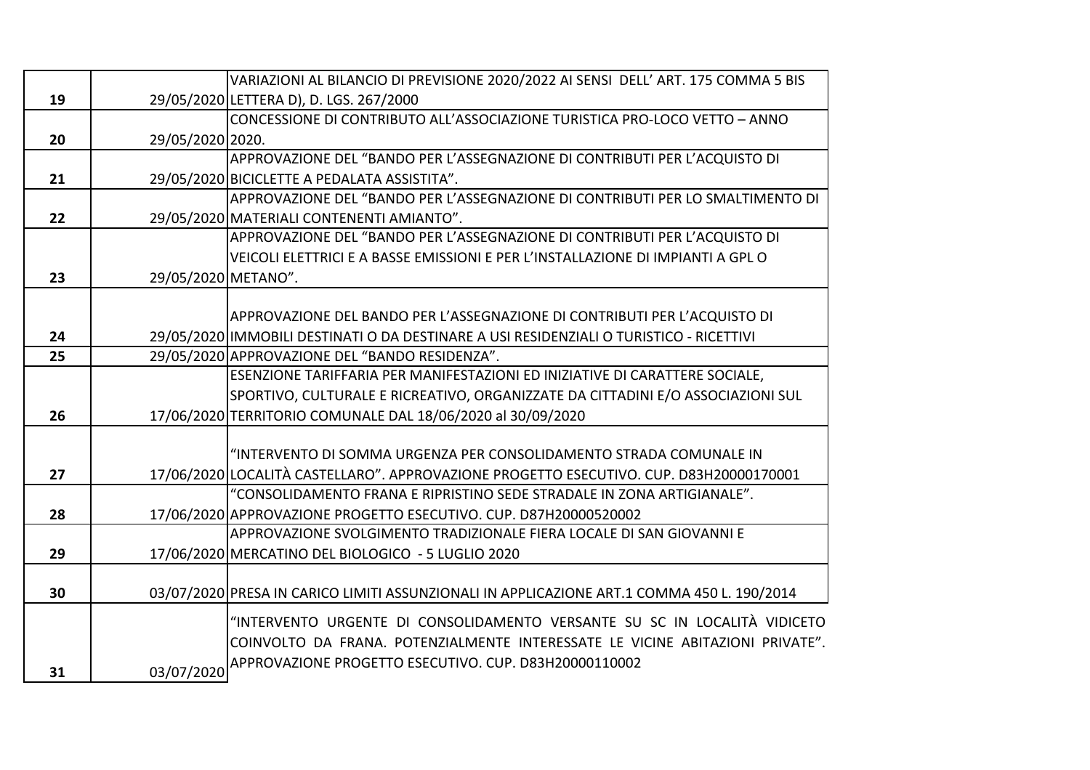|    |                     | VARIAZIONI AL BILANCIO DI PREVISIONE 2020/2022 AI SENSI DELL' ART. 175 COMMA 5 BIS         |
|----|---------------------|--------------------------------------------------------------------------------------------|
| 19 |                     | 29/05/2020 LETTERA D), D. LGS. 267/2000                                                    |
|    |                     | CONCESSIONE DI CONTRIBUTO ALL'ASSOCIAZIONE TURISTICA PRO-LOCO VETTO - ANNO                 |
| 20 | 29/05/2020 2020.    |                                                                                            |
|    |                     | APPROVAZIONE DEL "BANDO PER L'ASSEGNAZIONE DI CONTRIBUTI PER L'ACQUISTO DI                 |
| 21 |                     | 29/05/2020 BICICLETTE A PEDALATA ASSISTITA".                                               |
|    |                     | APPROVAZIONE DEL "BANDO PER L'ASSEGNAZIONE DI CONTRIBUTI PER LO SMALTIMENTO DI             |
| 22 |                     | 29/05/2020 MATERIALI CONTENENTI AMIANTO".                                                  |
|    |                     | APPROVAZIONE DEL "BANDO PER L'ASSEGNAZIONE DI CONTRIBUTI PER L'ACQUISTO DI                 |
|    |                     | VEICOLI ELETTRICI E A BASSE EMISSIONI E PER L'INSTALLAZIONE DI IMPIANTI A GPL O            |
| 23 | 29/05/2020 METANO". |                                                                                            |
|    |                     |                                                                                            |
|    |                     | APPROVAZIONE DEL BANDO PER L'ASSEGNAZIONE DI CONTRIBUTI PER L'ACQUISTO DI                  |
| 24 |                     | 29/05/2020 IMMOBILI DESTINATI O DA DESTINARE A USI RESIDENZIALI O TURISTICO - RICETTIVI    |
| 25 |                     | 29/05/2020 APPROVAZIONE DEL "BANDO RESIDENZA".                                             |
|    |                     | ESENZIONE TARIFFARIA PER MANIFESTAZIONI ED INIZIATIVE DI CARATTERE SOCIALE,                |
|    |                     | SPORTIVO, CULTURALE E RICREATIVO, ORGANIZZATE DA CITTADINI E/O ASSOCIAZIONI SUL            |
| 26 |                     | 17/06/2020 TERRITORIO COMUNALE DAL 18/06/2020 al 30/09/2020                                |
|    |                     |                                                                                            |
|    |                     | "INTERVENTO DI SOMMA URGENZA PER CONSOLIDAMENTO STRADA COMUNALE IN                         |
| 27 |                     | 17/06/2020 LOCALITÀ CASTELLARO". APPROVAZIONE PROGETTO ESECUTIVO. CUP. D83H20000170001     |
|    |                     | "CONSOLIDAMENTO FRANA E RIPRISTINO SEDE STRADALE IN ZONA ARTIGIANALE".                     |
| 28 |                     | 17/06/2020 APPROVAZIONE PROGETTO ESECUTIVO. CUP. D87H20000520002                           |
|    |                     | APPROVAZIONE SVOLGIMENTO TRADIZIONALE FIERA LOCALE DI SAN GIOVANNI E                       |
| 29 |                     | 17/06/2020 MERCATINO DEL BIOLOGICO - 5 LUGLIO 2020                                         |
|    |                     |                                                                                            |
| 30 |                     | 03/07/2020 PRESA IN CARICO LIMITI ASSUNZIONALI IN APPLICAZIONE ART.1 COMMA 450 L. 190/2014 |
|    |                     | "INTERVENTO URGENTE DI CONSOLIDAMENTO VERSANTE SU SC IN LOCALITÀ VIDICETO                  |
|    |                     | COINVOLTO DA FRANA. POTENZIALMENTE INTERESSATE LE VICINE ABITAZIONI PRIVATE".              |
|    |                     | APPROVAZIONE PROGETTO ESECUTIVO. CUP. D83H20000110002                                      |
| 31 | 03/07/2020          |                                                                                            |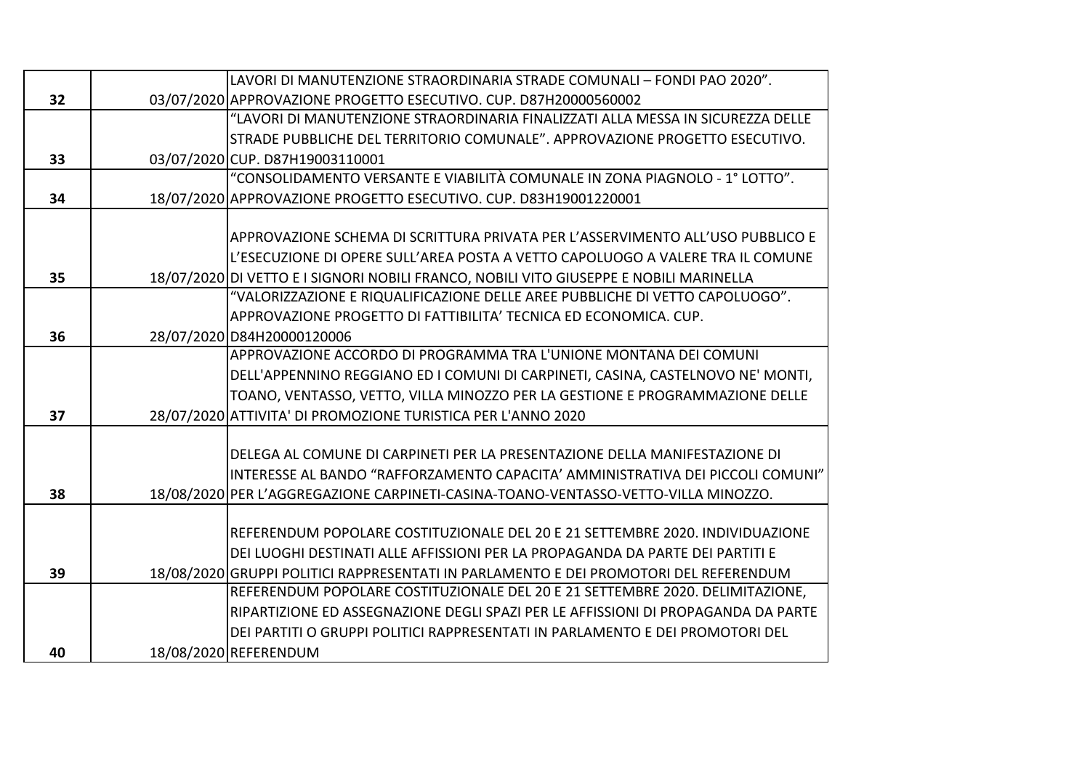|    | LAVORI DI MANUTENZIONE STRAORDINARIA STRADE COMUNALI - FONDI PAO 2020".                |
|----|----------------------------------------------------------------------------------------|
| 32 | 03/07/2020 APPROVAZIONE PROGETTO ESECUTIVO. CUP. D87H20000560002                       |
|    | "LAVORI DI MANUTENZIONE STRAORDINARIA FINALIZZATI ALLA MESSA IN SICUREZZA DELLE        |
|    | STRADE PUBBLICHE DEL TERRITORIO COMUNALE". APPROVAZIONE PROGETTO ESECUTIVO.            |
| 33 | 03/07/2020 CUP. D87H19003110001                                                        |
|    | "CONSOLIDAMENTO VERSANTE E VIABILITÀ COMUNALE IN ZONA PIAGNOLO - 1° LOTTO".            |
| 34 | 18/07/2020 APPROVAZIONE PROGETTO ESECUTIVO. CUP. D83H19001220001                       |
|    |                                                                                        |
|    | APPROVAZIONE SCHEMA DI SCRITTURA PRIVATA PER L'ASSERVIMENTO ALL'USO PUBBLICO E         |
|    | L'ESECUZIONE DI OPERE SULL'AREA POSTA A VETTO CAPOLUOGO A VALERE TRA IL COMUNE         |
| 35 | 18/07/2020 DI VETTO E I SIGNORI NOBILI FRANCO, NOBILI VITO GIUSEPPE E NOBILI MARINELLA |
|    | "VALORIZZAZIONE E RIQUALIFICAZIONE DELLE AREE PUBBLICHE DI VETTO CAPOLUOGO".           |
|    | APPROVAZIONE PROGETTO DI FATTIBILITA' TECNICA ED ECONOMICA. CUP.                       |
| 36 | 28/07/2020 D84H20000120006                                                             |
|    | APPROVAZIONE ACCORDO DI PROGRAMMA TRA L'UNIONE MONTANA DEI COMUNI                      |
|    | DELL'APPENNINO REGGIANO ED I COMUNI DI CARPINETI, CASINA, CASTELNOVO NE' MONTI,        |
|    | TOANO, VENTASSO, VETTO, VILLA MINOZZO PER LA GESTIONE E PROGRAMMAZIONE DELLE           |
| 37 | 28/07/2020 ATTIVITA' DI PROMOZIONE TURISTICA PER L'ANNO 2020                           |
|    |                                                                                        |
|    | DELEGA AL COMUNE DI CARPINETI PER LA PRESENTAZIONE DELLA MANIFESTAZIONE DI             |
|    | IINTERESSE AL BANDO "RAFFORZAMENTO CAPACITA' AMMINISTRATIVA DEI PICCOLI COMUNI"        |
| 38 | 18/08/2020 PER L'AGGREGAZIONE CARPINETI-CASINA-TOANO-VENTASSO-VETTO-VILLA MINOZZO.     |
|    |                                                                                        |
|    | REFERENDUM POPOLARE COSTITUZIONALE DEL 20 E 21 SETTEMBRE 2020. INDIVIDUAZIONE          |
|    | DEI LUOGHI DESTINATI ALLE AFFISSIONI PER LA PROPAGANDA DA PARTE DEI PARTITI E          |
| 39 | 18/08/2020 GRUPPI POLITICI RAPPRESENTATI IN PARLAMENTO E DEI PROMOTORI DEL REFERENDUM  |
|    | REFERENDUM POPOLARE COSTITUZIONALE DEL 20 E 21 SETTEMBRE 2020. DELIMITAZIONE,          |
|    | RIPARTIZIONE ED ASSEGNAZIONE DEGLI SPAZI PER LE AFFISSIONI DI PROPAGANDA DA PARTE      |
|    | DEI PARTITI O GRUPPI POLITICI RAPPRESENTATI IN PARLAMENTO E DEI PROMOTORI DEL          |
| 40 | 18/08/2020 REFERENDUM                                                                  |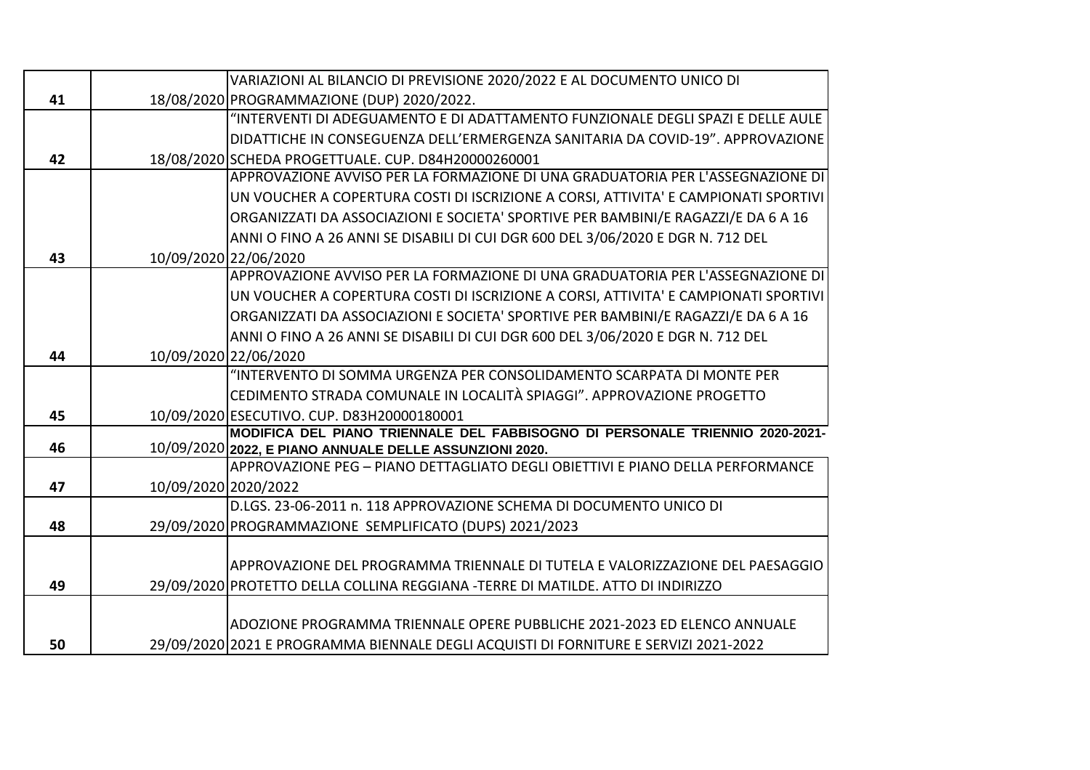|    |                       | VARIAZIONI AL BILANCIO DI PREVISIONE 2020/2022 E AL DOCUMENTO UNICO DI                                                                    |
|----|-----------------------|-------------------------------------------------------------------------------------------------------------------------------------------|
| 41 |                       | 18/08/2020 PROGRAMMAZIONE (DUP) 2020/2022.                                                                                                |
|    |                       | "INTERVENTI DI ADEGUAMENTO E DI ADATTAMENTO FUNZIONALE DEGLI SPAZI E DELLE AULE                                                           |
|    |                       | DIDATTICHE IN CONSEGUENZA DELL'ERMERGENZA SANITARIA DA COVID-19". APPROVAZIONE                                                            |
| 42 |                       | 18/08/2020 SCHEDA PROGETTUALE. CUP. D84H20000260001                                                                                       |
|    |                       | APPROVAZIONE AVVISO PER LA FORMAZIONE DI UNA GRADUATORIA PER L'ASSEGNAZIONE DI                                                            |
|    |                       | UN VOUCHER A COPERTURA COSTI DI ISCRIZIONE A CORSI, ATTIVITA' E CAMPIONATI SPORTIVI                                                       |
|    |                       | ORGANIZZATI DA ASSOCIAZIONI E SOCIETA' SPORTIVE PER BAMBINI/E RAGAZZI/E DA 6 A 16                                                         |
|    |                       | ANNI O FINO A 26 ANNI SE DISABILI DI CUI DGR 600 DEL 3/06/2020 E DGR N. 712 DEL                                                           |
| 43 | 10/09/2020 22/06/2020 |                                                                                                                                           |
|    |                       | APPROVAZIONE AVVISO PER LA FORMAZIONE DI UNA GRADUATORIA PER L'ASSEGNAZIONE DI                                                            |
|    |                       | UN VOUCHER A COPERTURA COSTI DI ISCRIZIONE A CORSI, ATTIVITA' E CAMPIONATI SPORTIVI                                                       |
|    |                       | ORGANIZZATI DA ASSOCIAZIONI E SOCIETA' SPORTIVE PER BAMBINI/E RAGAZZI/E DA 6 A 16                                                         |
|    |                       | ANNI O FINO A 26 ANNI SE DISABILI DI CUI DGR 600 DEL 3/06/2020 E DGR N. 712 DEL                                                           |
| 44 | 10/09/2020 22/06/2020 |                                                                                                                                           |
|    |                       | "INTERVENTO DI SOMMA URGENZA PER CONSOLIDAMENTO SCARPATA DI MONTE PER                                                                     |
|    |                       | CEDIMENTO STRADA COMUNALE IN LOCALITÀ SPIAGGI". APPROVAZIONE PROGETTO                                                                     |
| 45 |                       | 10/09/2020 ESECUTIVO. CUP. D83H20000180001                                                                                                |
|    |                       | MODIFICA DEL PIANO TRIENNALE DEL FABBISOGNO DI PERSONALE TRIENNIO 2020-2021-                                                              |
| 46 |                       | 10/09/2020 2022, E PIANO ANNUALE DELLE ASSUNZIONI 2020.<br>APPROVAZIONE PEG - PIANO DETTAGLIATO DEGLI OBIETTIVI E PIANO DELLA PERFORMANCE |
| 47 | 10/09/2020 2020/2022  |                                                                                                                                           |
|    |                       | D.LGS. 23-06-2011 n. 118 APPROVAZIONE SCHEMA DI DOCUMENTO UNICO DI                                                                        |
| 48 |                       | 29/09/2020 PROGRAMMAZIONE SEMPLIFICATO (DUPS) 2021/2023                                                                                   |
|    |                       |                                                                                                                                           |
|    |                       | APPROVAZIONE DEL PROGRAMMA TRIENNALE DI TUTELA E VALORIZZAZIONE DEL PAESAGGIO                                                             |
| 49 |                       | 29/09/2020 PROTETTO DELLA COLLINA REGGIANA -TERRE DI MATILDE. ATTO DI INDIRIZZO                                                           |
|    |                       |                                                                                                                                           |
|    |                       | ADOZIONE PROGRAMMA TRIENNALE OPERE PUBBLICHE 2021-2023 ED ELENCO ANNUALE                                                                  |
| 50 |                       | 29/09/2020 2021 E PROGRAMMA BIENNALE DEGLI ACQUISTI DI FORNITURE E SERVIZI 2021-2022                                                      |
|    |                       |                                                                                                                                           |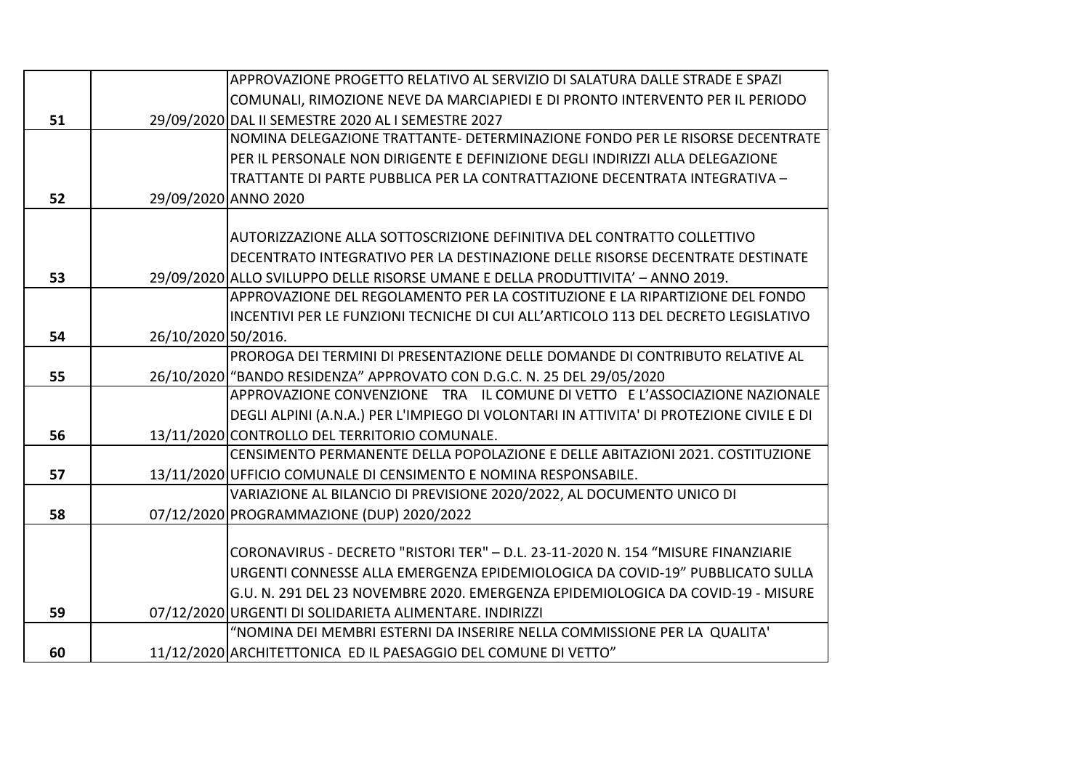|    |                     | APPROVAZIONE PROGETTO RELATIVO AL SERVIZIO DI SALATURA DALLE STRADE E SPAZI             |
|----|---------------------|-----------------------------------------------------------------------------------------|
|    |                     | COMUNALI, RIMOZIONE NEVE DA MARCIAPIEDI E DI PRONTO INTERVENTO PER IL PERIODO           |
| 51 |                     | 29/09/2020 DAL II SEMESTRE 2020 AL I SEMESTRE 2027                                      |
|    |                     | NOMINA DELEGAZIONE TRATTANTE- DETERMINAZIONE FONDO PER LE RISORSE DECENTRATE            |
|    |                     | PER IL PERSONALE NON DIRIGENTE E DEFINIZIONE DEGLI INDIRIZZI ALLA DELEGAZIONE           |
|    |                     | TRATTANTE DI PARTE PUBBLICA PER LA CONTRATTAZIONE DECENTRATA INTEGRATIVA -              |
| 52 |                     | 29/09/2020 ANNO 2020                                                                    |
|    |                     |                                                                                         |
|    |                     | AUTORIZZAZIONE ALLA SOTTOSCRIZIONE DEFINITIVA DEL CONTRATTO COLLETTIVO                  |
|    |                     | DECENTRATO INTEGRATIVO PER LA DESTINAZIONE DELLE RISORSE DECENTRATE DESTINATE           |
| 53 |                     | 29/09/2020 ALLO SVILUPPO DELLE RISORSE UMANE E DELLA PRODUTTIVITA' - ANNO 2019.         |
|    |                     | APPROVAZIONE DEL REGOLAMENTO PER LA COSTITUZIONE E LA RIPARTIZIONE DEL FONDO            |
|    |                     | INCENTIVI PER LE FUNZIONI TECNICHE DI CUI ALL'ARTICOLO 113 DEL DECRETO LEGISLATIVO      |
| 54 | 26/10/2020 50/2016. |                                                                                         |
|    |                     | PROROGA DEI TERMINI DI PRESENTAZIONE DELLE DOMANDE DI CONTRIBUTO RELATIVE AL            |
| 55 |                     | 26/10/2020 "BANDO RESIDENZA" APPROVATO CON D.G.C. N. 25 DEL 29/05/2020                  |
|    |                     | APPROVAZIONE CONVENZIONE TRA IL COMUNE DI VETTO E L'ASSOCIAZIONE NAZIONALE              |
|    |                     | DEGLI ALPINI (A.N.A.) PER L'IMPIEGO DI VOLONTARI IN ATTIVITA' DI PROTEZIONE CIVILE E DI |
| 56 |                     | 13/11/2020 CONTROLLO DEL TERRITORIO COMUNALE.                                           |
|    |                     | CENSIMENTO PERMANENTE DELLA POPOLAZIONE E DELLE ABITAZIONI 2021. COSTITUZIONE           |
| 57 |                     | 13/11/2020 UFFICIO COMUNALE DI CENSIMENTO E NOMINA RESPONSABILE.                        |
|    |                     | VARIAZIONE AL BILANCIO DI PREVISIONE 2020/2022, AL DOCUMENTO UNICO DI                   |
| 58 |                     | 07/12/2020 PROGRAMMAZIONE (DUP) 2020/2022                                               |
|    |                     |                                                                                         |
|    |                     | CORONAVIRUS - DECRETO "RISTORI TER" - D.L. 23-11-2020 N. 154 "MISURE FINANZIARIE        |
|    |                     | URGENTI CONNESSE ALLA EMERGENZA EPIDEMIOLOGICA DA COVID-19" PUBBLICATO SULLA            |
|    |                     | G.U. N. 291 DEL 23 NOVEMBRE 2020. EMERGENZA EPIDEMIOLOGICA DA COVID-19 - MISURE         |
| 59 |                     | 07/12/2020 URGENTI DI SOLIDARIETA ALIMENTARE. INDIRIZZI                                 |
|    |                     | "NOMINA DEI MEMBRI ESTERNI DA INSERIRE NELLA COMMISSIONE PER LA QUALITA'                |
| 60 |                     | 11/12/2020 ARCHITETTONICA ED IL PAESAGGIO DEL COMUNE DI VETTO"                          |